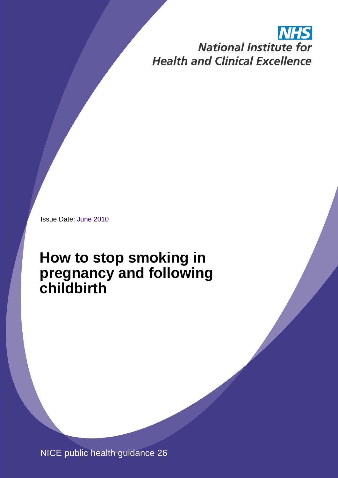# **NHS National Institute for Health and Clinical Excellence**

Issue Date: June 2010

# **How to stop smoking in pregnancy and following childbirth**

NICE public health guidance 26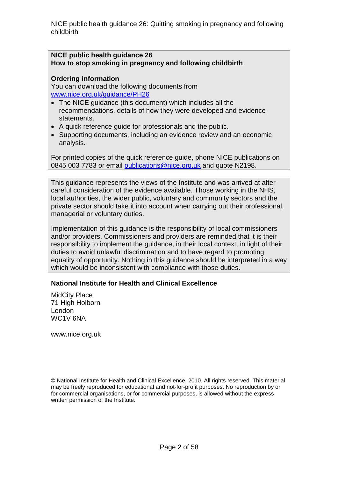#### **NICE public health guidance 26 How to stop smoking in pregnancy and following childbirth**

#### **Ordering information**

You can download the following documents from [www.nice.org.uk/guidance/PH26](http://www.nice.org.uk/guidance/PH26)

- The NICE guidance (this document) which includes all the recommendations, details of how they were developed and evidence statements.
- A quick reference guide for professionals and the public.
- Supporting documents, including an evidence review and an economic analysis.

For printed copies of the quick reference guide, phone NICE publications on 0845 003 7783 or email [publications@nice.org.uk](mailto:publications@nice.org.uk) and quote N2198.

This guidance represents the views of the Institute and was arrived at after careful consideration of the evidence available. Those working in the NHS, local authorities, the wider public, voluntary and community sectors and the private sector should take it into account when carrying out their professional, managerial or voluntary duties.

Implementation of this guidance is the responsibility of local commissioners and/or providers. Commissioners and providers are reminded that it is their responsibility to implement the guidance, in their local context, in light of their duties to avoid unlawful discrimination and to have regard to promoting equality of opportunity. Nothing in this guidance should be interpreted in a way which would be inconsistent with compliance with those duties.

#### **National Institute for Health and Clinical Excellence**

MidCity Place 71 High Holborn London WC1V 6NA

www.nice.org.uk

© National Institute for Health and Clinical Excellence, 2010. All rights reserved. This material may be freely reproduced for educational and not-for-profit purposes. No reproduction by or for commercial organisations, or for commercial purposes, is allowed without the express written permission of the Institute.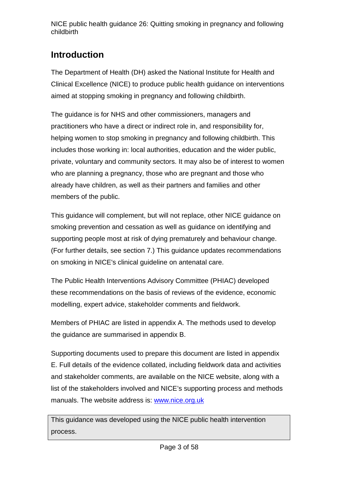## **Introduction**

The Department of Health (DH) asked the National Institute for Health and Clinical Excellence (NICE) to produce public health guidance on interventions aimed at stopping smoking in pregnancy and following childbirth.

The guidance is for NHS and other commissioners, managers and practitioners who have a direct or indirect role in, and responsibility for, helping women to stop smoking in pregnancy and following childbirth. This includes those working in: local authorities, education and the wider public, private, voluntary and community sectors. It may also be of interest to women who are planning a pregnancy, those who are pregnant and those who already have children, as well as their partners and families and other members of the public.

This guidance will complement, but will not replace, other NICE guidance on smoking prevention and cessation as well as guidance on identifying and supporting people most at risk of dying prematurely and behaviour change. (For further details, see section 7.) This guidance updates recommendations on smoking in NICE's clinical guideline on antenatal care.

The Public Health Interventions Advisory Committee (PHIAC) developed these recommendations on the basis of reviews of the evidence, economic modelling, expert advice, stakeholder comments and fieldwork.

Members of PHIAC are listed in appendix A. The methods used to develop the guidance are summarised in appendix B.

Supporting documents used to prepare this document are listed in appendix E. Full details of the evidence collated, including fieldwork data and activities and stakeholder comments, are available on the NICE website, along with a list of the stakeholders involved and NICE's supporting process and methods manuals. The website address is: [www.nice.org.uk](http://www.nice.org.uk/)

This guidance was developed using the NICE public health intervention process.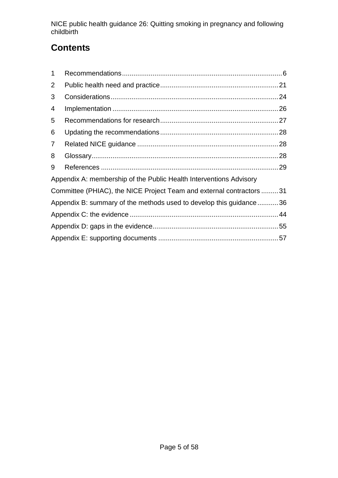## **Contents**

| $\mathbf 1$                                                          |  |  |
|----------------------------------------------------------------------|--|--|
| 2                                                                    |  |  |
| 3                                                                    |  |  |
| 4                                                                    |  |  |
| 5                                                                    |  |  |
| 6                                                                    |  |  |
| $\overline{7}$                                                       |  |  |
| 8                                                                    |  |  |
| 9                                                                    |  |  |
| Appendix A: membership of the Public Health Interventions Advisory   |  |  |
| Committee (PHIAC), the NICE Project Team and external contractors 31 |  |  |
| Appendix B: summary of the methods used to develop this guidance36   |  |  |
|                                                                      |  |  |
|                                                                      |  |  |
|                                                                      |  |  |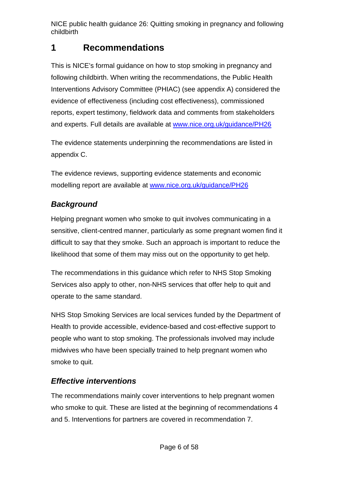## <span id="page-5-0"></span>**1 Recommendations**

This is NICE's formal guidance on how to stop smoking in pregnancy and following childbirth. When writing the recommendations, the Public Health Interventions Advisory Committee (PHIAC) (see appendix A) considered the evidence of effectiveness (including cost effectiveness), commissioned reports, expert testimony, fieldwork data and comments from stakeholders and experts. Full details are available at [www.nice.org.uk/guidance/PH26](http://www.nice.org.uk/guidance/PH26)

The evidence statements underpinning the recommendations are listed in appendix C.

The evidence reviews, supporting evidence statements and economic modelling report are available at [www.nice.org.uk/guidance/PH26](http://www.nice.org.uk/guidance/PH26)

### *Background*

Helping pregnant women who smoke to quit involves communicating in a sensitive, client-centred manner, particularly as some pregnant women find it difficult to say that they smoke. Such an approach is important to reduce the likelihood that some of them may miss out on the opportunity to get help.

The recommendations in this guidance which refer to NHS Stop Smoking Services also apply to other, non-NHS services that offer help to quit and operate to the same standard.

NHS Stop Smoking Services are local services funded by the Department of Health to provide accessible, evidence-based and cost-effective support to people who want to stop smoking. The professionals involved may include midwives who have been specially trained to help pregnant women who smoke to quit.

### *Effective interventions*

The recommendations mainly cover interventions to help pregnant women who smoke to quit. These are listed at the beginning of recommendations 4 and 5. Interventions for partners are covered in recommendation 7.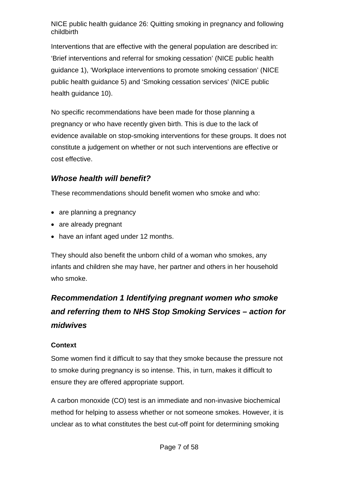Interventions that are effective with the general population are described in: 'Brief interventions and referral for smoking cessation' (NICE public health guidance 1), 'Workplace interventions to promote smoking cessation' (NICE public health guidance 5) and 'Smoking cessation services' (NICE public health guidance 10).

No specific recommendations have been made for those planning a pregnancy or who have recently given birth. This is due to the lack of evidence available on stop-smoking interventions for these groups. It does not constitute a judgement on whether or not such interventions are effective or cost effective.

### *Whose health will benefit?*

These recommendations should benefit women who smoke and who:

- are planning a pregnancy
- are already pregnant
- have an infant aged under 12 months.

They should also benefit the unborn child of a woman who smokes, any infants and children she may have, her partner and others in her household who smoke.

## *Recommendation 1 Identifying pregnant women who smoke and referring them to NHS Stop Smoking Services – action for midwives*

#### **Context**

Some women find it difficult to say that they smoke because the pressure not to smoke during pregnancy is so intense. This, in turn, makes it difficult to ensure they are offered appropriate support.

A carbon monoxide (CO) test is an immediate and non-invasive biochemical method for helping to assess whether or not someone smokes. However, it is unclear as to what constitutes the best cut-off point for determining smoking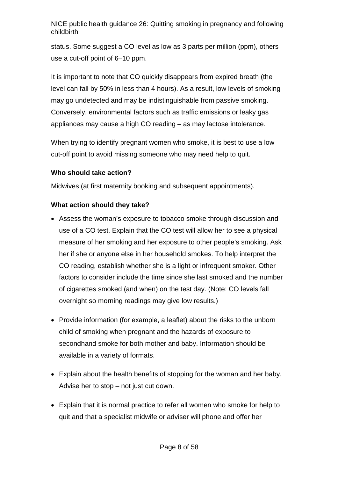status. Some suggest a CO level as low as 3 parts per million (ppm), others use a cut-off point of 6–10 ppm.

It is important to note that CO quickly disappears from expired breath (the level can fall by 50% in less than 4 hours). As a result, low levels of smoking may go undetected and may be indistinguishable from passive smoking. Conversely, environmental factors such as traffic emissions or leaky gas appliances may cause a high CO reading – as may lactose intolerance.

When trying to identify pregnant women who smoke, it is best to use a low cut-off point to avoid missing someone who may need help to quit.

#### **Who should take action?**

Midwives (at first maternity booking and subsequent appointments).

- Assess the woman's exposure to tobacco smoke through discussion and use of a CO test. Explain that the CO test will allow her to see a physical measure of her smoking and her exposure to other people's smoking. Ask her if she or anyone else in her household smokes. To help interpret the CO reading, establish whether she is a light or infrequent smoker. Other factors to consider include the time since she last smoked and the number of cigarettes smoked (and when) on the test day. (Note: CO levels fall overnight so morning readings may give low results.)
- Provide information (for example, a leaflet) about the risks to the unborn child of smoking when pregnant and the hazards of exposure to secondhand smoke for both mother and baby. Information should be available in a variety of formats.
- Explain about the health benefits of stopping for the woman and her baby. Advise her to stop – not just cut down.
- Explain that it is normal practice to refer all women who smoke for help to quit and that a specialist midwife or adviser will phone and offer her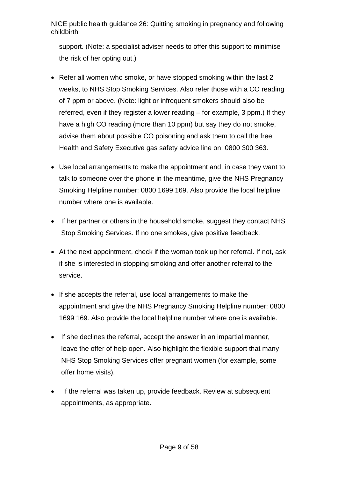support. (Note: a specialist adviser needs to offer this support to minimise the risk of her opting out.)

- Refer all women who smoke, or have stopped smoking within the last 2 weeks, to NHS Stop Smoking Services. Also refer those with a CO reading of 7 ppm or above. (Note: light or infrequent smokers should also be referred, even if they register a lower reading – for example, 3 ppm.) If they have a high CO reading (more than 10 ppm) but say they do not smoke, advise them about possible CO poisoning and ask them to call the free Health and Safety Executive gas safety advice line on: 0800 300 363.
- Use local arrangements to make the appointment and, in case they want to talk to someone over the phone in the meantime, give the NHS Pregnancy Smoking Helpline number: 0800 1699 169. Also provide the local helpline number where one is available.
- If her partner or others in the household smoke, suggest they contact NHS Stop Smoking Services. If no one smokes, give positive feedback.
- At the next appointment, check if the woman took up her referral. If not, ask if she is interested in stopping smoking and offer another referral to the service.
- If she accepts the referral, use local arrangements to make the appointment and give the NHS Pregnancy Smoking Helpline number: 0800 1699 169. Also provide the local helpline number where one is available.
- If she declines the referral, accept the answer in an impartial manner, leave the offer of help open. Also highlight the flexible support that many NHS Stop Smoking Services offer pregnant women (for example, some offer home visits).
- If the referral was taken up, provide feedback. Review at subsequent appointments, as appropriate.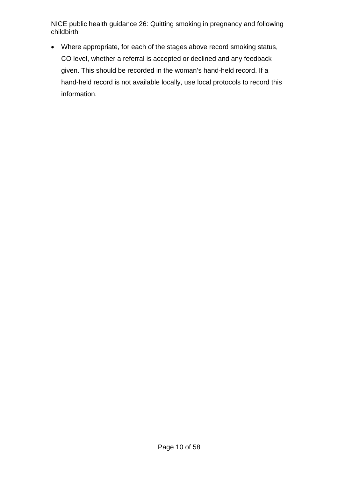• Where appropriate, for each of the stages above record smoking status, CO level, whether a referral is accepted or declined and any feedback given. This should be recorded in the woman's hand-held record. If a hand-held record is not available locally, use local protocols to record this information.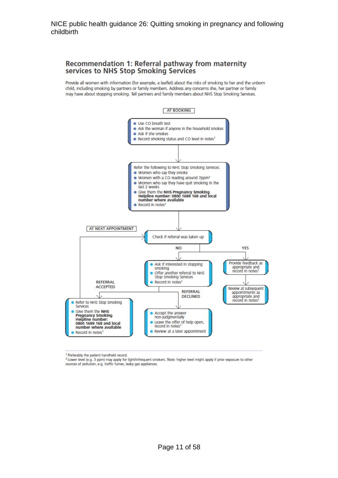#### Recommendation 1: Referral pathway from maternity services to NHS Stop Smoking Services

Provide all women with information (for example, a leaflet) about the risks of smoking to her and the unborn child, including smoking by partners or family members. Address any concerns she, her partner or family may have about stopping smoking. Tell partners and family members about NHS Stop Smoking Services.



<sup>1</sup> Preferably the patient handheld record.

<sup>2</sup> Lower level (e.g. 3 ppm) may apply for light/infrequent smokers. Note: higher level might apply if prior exposure to other sources of pollution, e.g. traffic fumes, leaky gas appliances.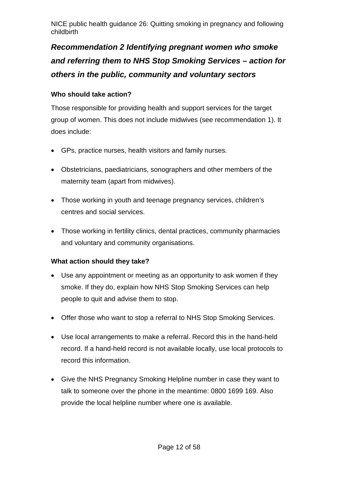## *Recommendation 2 Identifying pregnant women who smoke and referring them to NHS Stop Smoking Services – action for others in the public, community and voluntary sectors*

#### **Who should take action?**

Those responsible for providing health and support services for the target group of women. This does not include midwives (see recommendation 1). It does include:

- GPs, practice nurses, health visitors and family nurses.
- Obstetricians, paediatricians, sonographers and other members of the maternity team (apart from midwives).
- Those working in youth and teenage pregnancy services, children's centres and social services.
- Those working in fertility clinics, dental practices, community pharmacies and voluntary and community organisations.

- Use any appointment or meeting as an opportunity to ask women if they smoke. If they do, explain how NHS Stop Smoking Services can help people to quit and advise them to stop.
- Offer those who want to stop a referral to NHS Stop Smoking Services.
- Use local arrangements to make a referral. Record this in the hand-held record. If a hand-held record is not available locally, use local protocols to record this information.
- Give the NHS Pregnancy Smoking Helpline number in case they want to talk to someone over the phone in the meantime: 0800 1699 169. Also provide the local helpline number where one is available.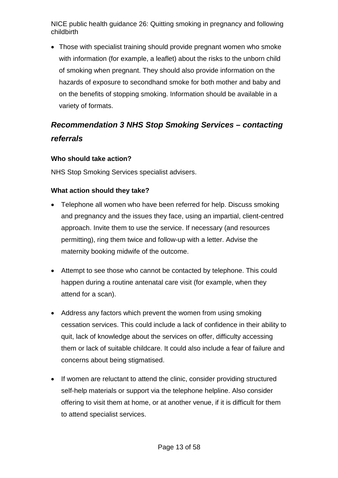• Those with specialist training should provide pregnant women who smoke with information (for example, a leaflet) about the risks to the unborn child of smoking when pregnant. They should also provide information on the hazards of exposure to secondhand smoke for both mother and baby and on the benefits of stopping smoking. Information should be available in a variety of formats.

## *Recommendation 3 NHS Stop Smoking Services – contacting referrals*

#### **Who should take action?**

NHS Stop Smoking Services specialist advisers.

- Telephone all women who have been referred for help. Discuss smoking and pregnancy and the issues they face, using an impartial, client-centred approach. Invite them to use the service. If necessary (and resources permitting), ring them twice and follow-up with a letter. Advise the maternity booking midwife of the outcome.
- Attempt to see those who cannot be contacted by telephone. This could happen during a routine antenatal care visit (for example, when they attend for a scan).
- Address any factors which prevent the women from using smoking cessation services. This could include a lack of confidence in their ability to quit, lack of knowledge about the services on offer, difficulty accessing them or lack of suitable childcare. It could also include a fear of failure and concerns about being stigmatised.
- If women are reluctant to attend the clinic, consider providing structured self-help materials or support via the telephone helpline. Also consider offering to visit them at home, or at another venue, if it is difficult for them to attend specialist services.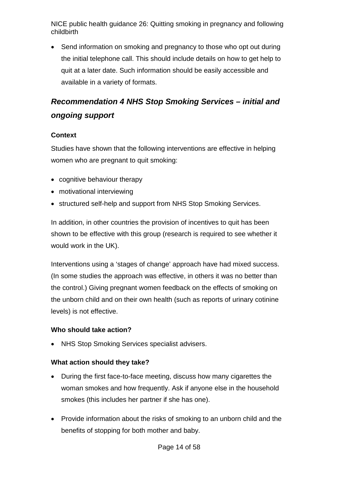• Send information on smoking and pregnancy to those who opt out during the initial telephone call. This should include details on how to get help to quit at a later date. Such information should be easily accessible and available in a variety of formats.

## *Recommendation 4 NHS Stop Smoking Services – initial and ongoing support*

#### **Context**

Studies have shown that the following interventions are effective in helping women who are pregnant to quit smoking:

- cognitive behaviour therapy
- motivational interviewing
- structured self-help and support from NHS Stop Smoking Services.

In addition, in other countries the provision of incentives to quit has been shown to be effective with this group (research is required to see whether it would work in the UK).

Interventions using a 'stages of change' approach have had mixed success. (In some studies the approach was effective, in others it was no better than the control.) Giving pregnant women feedback on the effects of smoking on the unborn child and on their own health (such as reports of urinary cotinine levels) is not effective.

#### **Who should take action?**

• NHS Stop Smoking Services specialist advisers.

- During the first face-to-face meeting, discuss how many cigarettes the woman smokes and how frequently. Ask if anyone else in the household smokes (this includes her partner if she has one).
- Provide information about the risks of smoking to an unborn child and the benefits of stopping for both mother and baby.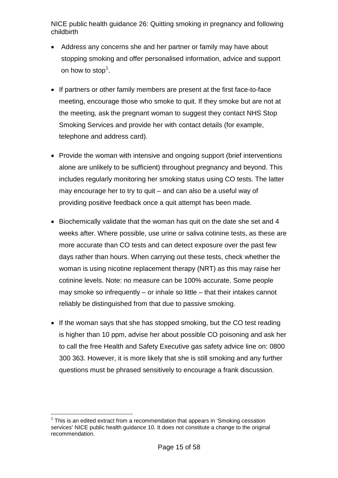- Address any concerns she and her partner or family may have about stopping smoking and offer personalised information, advice and support on how to stop<sup>[1](#page-14-0)</sup>.
- If partners or other family members are present at the first face-to-face meeting, encourage those who smoke to quit. If they smoke but are not at the meeting, ask the pregnant woman to suggest they contact NHS Stop Smoking Services and provide her with contact details (for example, telephone and address card).
- Provide the woman with intensive and ongoing support (brief interventions alone are unlikely to be sufficient) throughout pregnancy and beyond. This includes regularly monitoring her smoking status using CO tests. The latter may encourage her to try to quit – and can also be a useful way of providing positive feedback once a quit attempt has been made.
- Biochemically validate that the woman has quit on the date she set and 4 weeks after. Where possible, use urine or saliva cotinine tests, as these are more accurate than CO tests and can detect exposure over the past few days rather than hours. When carrying out these tests, check whether the woman is using nicotine replacement therapy (NRT) as this may raise her cotinine levels. Note: no measure can be 100% accurate. Some people may smoke so infrequently – or inhale so little – that their intakes cannot reliably be distinguished from that due to passive smoking.
- If the woman says that she has stopped smoking, but the CO test reading is higher than 10 ppm, advise her about possible CO poisoning and ask her to call the free Health and Safety Executive gas safety advice line on: 0800 300 363. However, it is more likely that she is still smoking and any further questions must be phrased sensitively to encourage a frank discussion.

<span id="page-14-0"></span> $<sup>1</sup>$  This is an edited extract from a recommendation that appears in 'Smoking cessation'</sup> services' NICE public health guidance 10. It does not constitute a change to the original recommendation.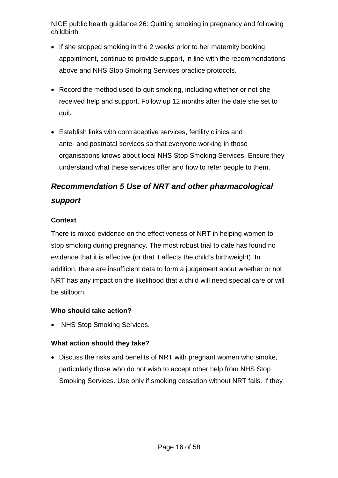- If she stopped smoking in the 2 weeks prior to her maternity booking appointment, continue to provide support, in line with the recommendations above and NHS Stop Smoking Services practice protocols.
- Record the method used to quit smoking, including whether or not she received help and support. Follow up 12 months after the date she set to quit**.**
- Establish links with contraceptive services, fertility clinics and ante- and postnatal services so that everyone working in those organisations knows about local NHS Stop Smoking Services. Ensure they understand what these services offer and how to refer people to them.

## *Recommendation 5 Use of NRT and other pharmacological support*

#### **Context**

There is mixed evidence on the effectiveness of NRT in helping women to stop smoking during pregnancy. The most robust trial to date has found no evidence that it is effective (or that it affects the child's birthweight). In addition, there are insufficient data to form a judgement about whether or not NRT has any impact on the likelihood that a child will need special care or will be stillborn.

#### **Who should take action?**

• NHS Stop Smoking Services.

#### **What action should they take?**

• Discuss the risks and benefits of NRT with pregnant women who smoke, particularly those who do not wish to accept other help from NHS Stop Smoking Services. Use only if smoking cessation without NRT fails. If they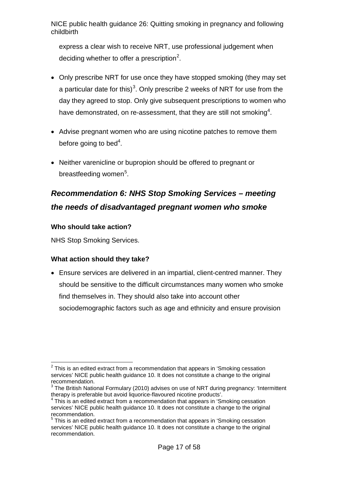express a clear wish to receive NRT, use professional judgement when deciding whether to offer a prescription<sup>[2](#page-16-0)</sup>.

- Only prescribe NRT for use once they have stopped smoking (they may set a particular date for this)<sup>[3](#page-16-1)</sup>. Only prescribe 2 weeks of NRT for use from the day they agreed to stop. Only give subsequent prescriptions to women who have demonstrated, on re-assessment, that they are still not smoking $^4\!$  $^4\!$  $^4\!$
- Advise pregnant women who are using nicotine patches to remove them before going to bed<sup>4</sup>.
- Neither varenicline or bupropion should be offered to pregnant or breastfeeding women<sup>[5](#page-16-3)</sup>.

## *Recommendation 6: NHS Stop Smoking Services – meeting the needs of disadvantaged pregnant women who smoke*

#### **Who should take action?**

NHS Stop Smoking Services.

#### **What action should they take?**

• Ensure services are delivered in an impartial, client-centred manner. They should be sensitive to the difficult circumstances many women who smoke find themselves in. They should also take into account other sociodemographic factors such as age and ethnicity and ensure provision

<span id="page-16-0"></span> $2$  This is an edited extract from a recommendation that appears in 'Smoking cessation services' NICE public health guidance 10. It does not constitute a change to the original recommendation.

<span id="page-16-1"></span> $3$  The British National Formulary (2010) advises on use of NRT during pregnancy: 'Intermittent therapy is preferable but avoid liquorice-flavoured nicotine products'.

<span id="page-16-2"></span> $4$  This is an edited extract from a recommendation that appears in 'Smoking cessation services' NICE public health guidance 10. It does not constitute a change to the original recommendation.

<span id="page-16-3"></span> $5$  This is an edited extract from a recommendation that appears in 'Smoking cessation services' NICE public health guidance 10. It does not constitute a change to the original recommendation.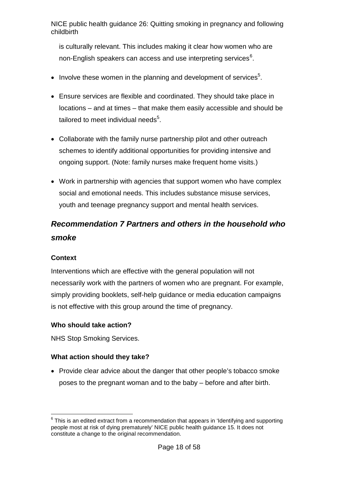is culturally relevant. This includes making it clear how women who are non-English speakers can access and use interpreting services $^6$  $^6$ .

- $\bullet$  Involve these women in the planning and development of services<sup>5</sup>.
- Ensure services are flexible and coordinated. They should take place in locations – and at times – that make them easily accessible and should be tailored to meet individual needs $5$ .
- Collaborate with the family nurse partnership pilot and other outreach schemes to identify additional opportunities for providing intensive and ongoing support. (Note: family nurses make frequent home visits.)
- Work in partnership with agencies that support women who have complex social and emotional needs. This includes substance misuse services, youth and teenage pregnancy support and mental health services.

## *Recommendation 7 Partners and others in the household who smoke*

#### **Context**

Interventions which are effective with the general population will not necessarily work with the partners of women who are pregnant. For example, simply providing booklets, self-help guidance or media education campaigns is not effective with this group around the time of pregnancy.

#### **Who should take action?**

NHS Stop Smoking Services.

#### **What action should they take?**

• Provide clear advice about the danger that other people's tobacco smoke poses to the pregnant woman and to the baby – before and after birth.

<span id="page-17-0"></span> $6$  This is an edited extract from a recommendation that appears in 'Identifying and supporting people most at risk of dying prematurely' NICE public health guidance 15. It does not constitute a change to the original recommendation.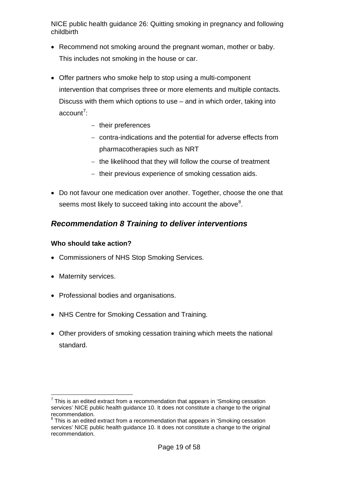- Recommend not smoking around the pregnant woman, mother or baby. This includes not smoking in the house or car.
- Offer partners who smoke help to stop using a multi-component intervention that comprises three or more elements and multiple contacts. Discuss with them which options to use – and in which order, taking into account<sup>[7](#page-18-0)</sup>:
	- − their preferences
	- − contra-indications and the potential for adverse effects from pharmacotherapies such as NRT
	- − the likelihood that they will follow the course of treatment
	- − their previous experience of smoking cessation aids.
- Do not favour one medication over another. Together, choose the one that seems most likely to succeed taking into account the above $^8\!$  $^8\!$  $^8\!$ .

### *Recommendation 8 Training to deliver interventions*

#### **Who should take action?**

- Commissioners of NHS Stop Smoking Services.
- Maternity services.
- Professional bodies and organisations.
- NHS Centre for Smoking Cessation and Training.
- Other providers of smoking cessation training which meets the national standard.

<span id="page-18-0"></span> $7$  This is an edited extract from a recommendation that appears in 'Smoking cessation' services' NICE public health guidance 10. It does not constitute a change to the original recommendation.

<span id="page-18-1"></span> $8$  This is an edited extract from a recommendation that appears in 'Smoking cessation services' NICE public health guidance 10. It does not constitute a change to the original recommendation.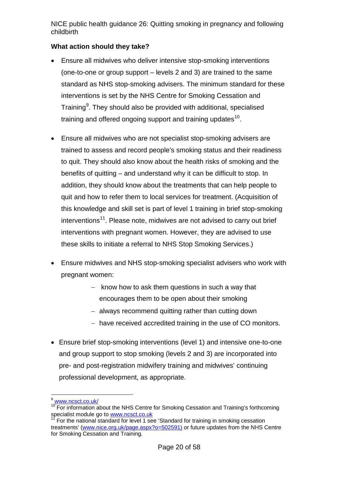- Ensure all midwives who deliver intensive stop-smoking interventions (one-to-one or group support – levels 2 and 3) are trained to the same standard as NHS stop-smoking advisers. The minimum standard for these interventions is set by the NHS Centre for Smoking Cessation and Training<sup>[9](#page-19-0)</sup>. They should also be provided with additional, specialised training and offered ongoing support and training updates $^{\rm 10}$  $^{\rm 10}$  $^{\rm 10}$ .
- Ensure all midwives who are not specialist stop-smoking advisers are trained to assess and record people's smoking status and their readiness to quit. They should also know about the health risks of smoking and the benefits of quitting – and understand why it can be difficult to stop. In addition, they should know about the treatments that can help people to quit and how to refer them to local services for treatment. (Acquisition of this knowledge and skill set is part of level 1 training in brief stop-smoking interventions<sup>[11](#page-19-2)</sup>. Please note, midwives are not advised to carry out brief interventions with pregnant women. However, they are advised to use these skills to initiate a referral to NHS Stop Smoking Services.)
- Ensure midwives and NHS stop-smoking specialist advisers who work with pregnant women:
	- − know how to ask them questions in such a way that encourages them to be open about their smoking
	- − always recommend quitting rather than cutting down
	- − have received accredited training in the use of CO monitors.
- Ensure brief stop-smoking interventions (level 1) and intensive one-to-one and group support to stop smoking (levels 2 and 3) are incorporated into pre- and post-registration midwifery training and midwives' continuing professional development, as appropriate.

<sup>9</sup> [www.ncsct.co.uk/](http://www.ncsct.co.uk/)

<span id="page-19-1"></span><span id="page-19-0"></span> $10$  For information about the NHS Centre for Smoking Cessation and Training's forthcoming specialist module go to [www.ncsct.co.uk](http://www.ncsct.co.uk/)

<span id="page-19-2"></span>For the national standard for level 1 see 'Standard for training in smoking cessation treatments' [\(www.nice.org.uk/page.aspx?o=502591\)](http://www.nice.org.uk/page.aspx?o=502591)1) or future updates from the NHS Centre for Smoking Cessation and Training.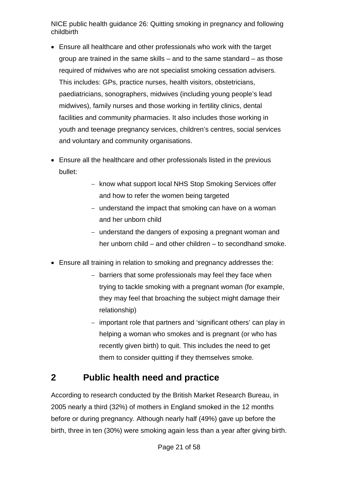- Ensure all healthcare and other professionals who work with the target group are trained in the same skills – and to the same standard – as those required of midwives who are not specialist smoking cessation advisers. This includes: GPs, practice nurses, health visitors, obstetricians, paediatricians, sonographers, midwives (including young people's lead midwives), family nurses and those working in fertility clinics, dental facilities and community pharmacies. It also includes those working in youth and teenage pregnancy services, children's centres, social services and voluntary and community organisations.
- Ensure all the healthcare and other professionals listed in the previous bullet:
	- − know what support local NHS Stop Smoking Services offer and how to refer the women being targeted
	- − understand the impact that smoking can have on a woman and her unborn child
	- − understand the dangers of exposing a pregnant woman and her unborn child – and other children – to secondhand smoke.
- Ensure all training in relation to smoking and pregnancy addresses the:
	- − barriers that some professionals may feel they face when trying to tackle smoking with a pregnant woman (for example, they may feel that broaching the subject might damage their relationship)
	- − important role that partners and 'significant others' can play in helping a woman who smokes and is pregnant (or who has recently given birth) to quit. This includes the need to get them to consider quitting if they themselves smoke.

## <span id="page-20-0"></span>**2 Public health need and practice**

According to research conducted by the British Market Research Bureau, in 2005 nearly a third (32%) of mothers in England smoked in the 12 months before or during pregnancy. Although nearly half (49%) gave up before the birth, three in ten (30%) were smoking again less than a year after giving birth.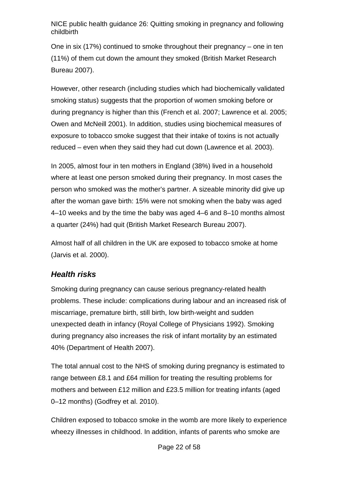One in six (17%) continued to smoke throughout their pregnancy – one in ten (11%) of them cut down the amount they smoked (British Market Research Bureau 2007).

However, other research (including studies which had biochemically validated smoking status) suggests that the proportion of women smoking before or during pregnancy is higher than this (French et al. 2007; Lawrence et al. 2005; Owen and McNeill 2001). In addition, studies using biochemical measures of exposure to tobacco smoke suggest that their intake of toxins is not actually reduced – even when they said they had cut down (Lawrence et al. 2003).

In 2005, almost four in ten mothers in England (38%) lived in a household where at least one person smoked during their pregnancy. In most cases the person who smoked was the mother's partner. A sizeable minority did give up after the woman gave birth: 15% were not smoking when the baby was aged 4–10 weeks and by the time the baby was aged 4–6 and 8–10 months almost a quarter (24%) had quit (British Market Research Bureau 2007).

Almost half of all children in the UK are exposed to tobacco smoke at home (Jarvis et al. 2000).

### *Health risks*

Smoking during pregnancy can cause serious pregnancy-related health problems. These include: complications during labour and an increased risk of miscarriage, premature birth, still birth, low birth-weight and sudden unexpected death in infancy (Royal College of Physicians 1992). Smoking during pregnancy also increases the risk of infant mortality by an estimated 40% (Department of Health 2007).

The total annual cost to the NHS of smoking during pregnancy is estimated to range between £8.1 and £64 million for treating the resulting problems for mothers and between £12 million and £23.5 million for treating infants (aged 0–12 months) (Godfrey et al. 2010).

Children exposed to tobacco smoke in the womb are more likely to experience wheezy illnesses in childhood. In addition, infants of parents who smoke are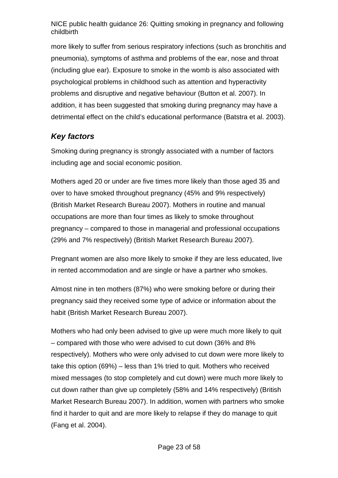more likely to suffer from serious respiratory infections (such as bronchitis and pneumonia), symptoms of asthma and problems of the ear, nose and throat (including glue ear). Exposure to smoke in the womb is also associated with psychological problems in childhood such as attention and hyperactivity problems and disruptive and negative behaviour (Button et al. 2007). In addition, it has been suggested that smoking during pregnancy may have a detrimental effect on the child's educational performance (Batstra et al. 2003).

### *Key factors*

Smoking during pregnancy is strongly associated with a number of factors including age and social economic position.

Mothers aged 20 or under are five times more likely than those aged 35 and over to have smoked throughout pregnancy (45% and 9% respectively) (British Market Research Bureau 2007). Mothers in routine and manual occupations are more than four times as likely to smoke throughout pregnancy – compared to those in managerial and professional occupations (29% and 7% respectively) (British Market Research Bureau 2007).

Pregnant women are also more likely to smoke if they are less educated, live in rented accommodation and are single or have a partner who smokes.

Almost nine in ten mothers (87%) who were smoking before or during their pregnancy said they received some type of advice or information about the habit (British Market Research Bureau 2007).

Mothers who had only been advised to give up were much more likely to quit – compared with those who were advised to cut down (36% and 8% respectively). Mothers who were only advised to cut down were more likely to take this option (69%) – less than 1% tried to quit. Mothers who received mixed messages (to stop completely and cut down) were much more likely to cut down rather than give up completely (58% and 14% respectively) (British Market Research Bureau 2007). In addition, women with partners who smoke find it harder to quit and are more likely to relapse if they do manage to quit (Fang et al. 2004).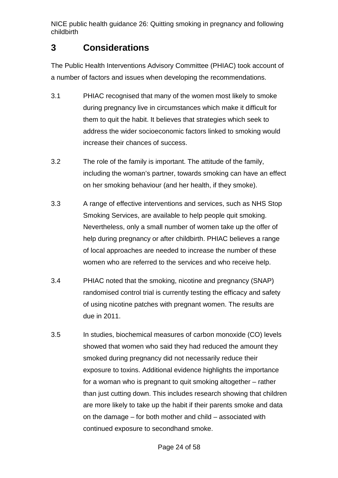## <span id="page-23-0"></span>**3 Considerations**

The Public Health Interventions Advisory Committee (PHIAC) took account of a number of factors and issues when developing the recommendations.

- 3.1 PHIAC recognised that many of the women most likely to smoke during pregnancy live in circumstances which make it difficult for them to quit the habit. It believes that strategies which seek to address the wider socioeconomic factors linked to smoking would increase their chances of success.
- 3.2 The role of the family is important. The attitude of the family, including the woman's partner, towards smoking can have an effect on her smoking behaviour (and her health, if they smoke).
- 3.3 A range of effective interventions and services, such as NHS Stop Smoking Services, are available to help people quit smoking. Nevertheless, only a small number of women take up the offer of help during pregnancy or after childbirth. PHIAC believes a range of local approaches are needed to increase the number of these women who are referred to the services and who receive help.
- 3.4 PHIAC noted that the smoking, nicotine and pregnancy (SNAP) randomised control trial is currently testing the efficacy and safety of using nicotine patches with pregnant women. The results are due in 2011.
- 3.5 In studies, biochemical measures of carbon monoxide (CO) levels showed that women who said they had reduced the amount they smoked during pregnancy did not necessarily reduce their exposure to toxins. Additional evidence highlights the importance for a woman who is pregnant to quit smoking altogether – rather than just cutting down. This includes research showing that children are more likely to take up the habit if their parents smoke and data on the damage – for both mother and child – associated with continued exposure to secondhand smoke.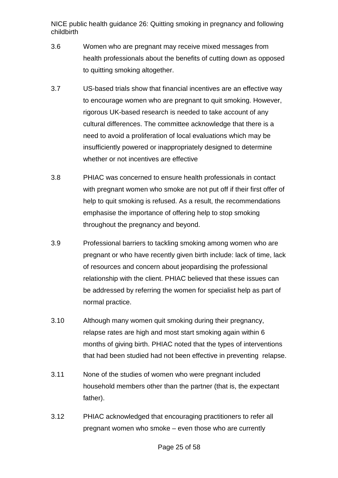- 3.6 Women who are pregnant may receive mixed messages from health professionals about the benefits of cutting down as opposed to quitting smoking altogether.
- 3.7 US-based trials show that financial incentives are an effective way to encourage women who are pregnant to quit smoking. However, rigorous UK-based research is needed to take account of any cultural differences. The committee acknowledge that there is a need to avoid a proliferation of local evaluations which may be insufficiently powered or inappropriately designed to determine whether or not incentives are effective
- 3.8 PHIAC was concerned to ensure health professionals in contact with pregnant women who smoke are not put off if their first offer of help to quit smoking is refused. As a result, the recommendations emphasise the importance of offering help to stop smoking throughout the pregnancy and beyond.
- 3.9 Professional barriers to tackling smoking among women who are pregnant or who have recently given birth include: lack of time, lack of resources and concern about jeopardising the professional relationship with the client. PHIAC believed that these issues can be addressed by referring the women for specialist help as part of normal practice.
- 3.10 Although many women quit smoking during their pregnancy, relapse rates are high and most start smoking again within 6 months of giving birth. PHIAC noted that the types of interventions that had been studied had not been effective in preventing relapse.
- 3.11 None of the studies of women who were pregnant included household members other than the partner (that is, the expectant father).
- 3.12 PHIAC acknowledged that encouraging practitioners to refer all pregnant women who smoke – even those who are currently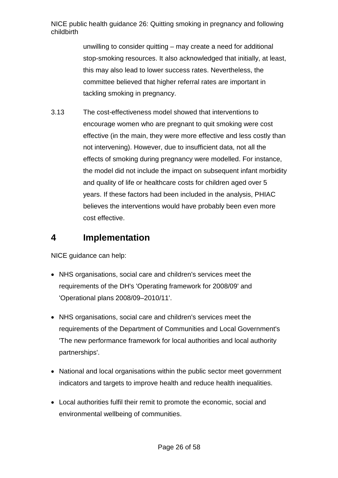> unwilling to consider quitting – may create a need for additional stop-smoking resources. It also acknowledged that initially, at least, this may also lead to lower success rates. Nevertheless, the committee believed that higher referral rates are important in tackling smoking in pregnancy.

3.13 The cost-effectiveness model showed that interventions to encourage women who are pregnant to quit smoking were cost effective (in the main, they were more effective and less costly than not intervening). However, due to insufficient data, not all the effects of smoking during pregnancy were modelled. For instance, the model did not include the impact on subsequent infant morbidity and quality of life or healthcare costs for children aged over 5 years. If these factors had been included in the analysis, PHIAC believes the interventions would have probably been even more cost effective.

### <span id="page-25-0"></span>**4 Implementation**

NICE guidance can help:

- NHS organisations, social care and children's services meet the requirements of the DH's 'Operating framework for 2008/09' and 'Operational plans 2008/09–2010/11'.
- NHS organisations, social care and children's services meet the requirements of the Department of Communities and Local Government's 'The new performance framework for local authorities and local authority partnerships'.
- National and local organisations within the public sector meet government indicators and targets to improve health and reduce health inequalities.
- Local authorities fulfil their remit to promote the economic, social and environmental wellbeing of communities.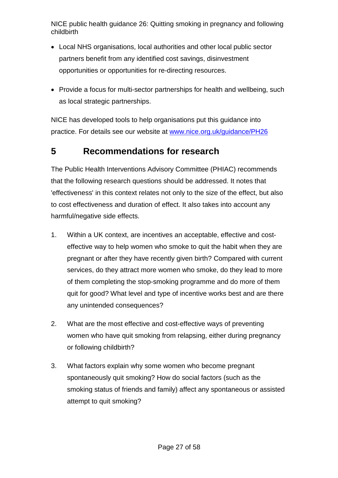- Local NHS organisations, local authorities and other local public sector partners benefit from any identified cost savings, disinvestment opportunities or opportunities for re-directing resources.
- Provide a focus for multi-sector partnerships for health and wellbeing, such as local strategic partnerships.

NICE has developed tools to help organisations put this guidance into practice. For details see our website at [www.nice.org.uk/guidance/PH26](http://www.nice.org.uk/guidance/PH26)

## <span id="page-26-0"></span>**5 Recommendations for research**

The Public Health Interventions Advisory Committee (PHIAC) recommends that the following research questions should be addressed. It notes that 'effectiveness' in this context relates not only to the size of the effect, but also to cost effectiveness and duration of effect. It also takes into account any harmful/negative side effects.

- 1. Within a UK context, are incentives an acceptable, effective and costeffective way to help women who smoke to quit the habit when they are pregnant or after they have recently given birth? Compared with current services, do they attract more women who smoke, do they lead to more of them completing the stop-smoking programme and do more of them quit for good? What level and type of incentive works best and are there any unintended consequences?
- 2. What are the most effective and cost-effective ways of preventing women who have quit smoking from relapsing, either during pregnancy or following childbirth?
- 3. What factors explain why some women who become pregnant spontaneously quit smoking? How do social factors (such as the smoking status of friends and family) affect any spontaneous or assisted attempt to quit smoking?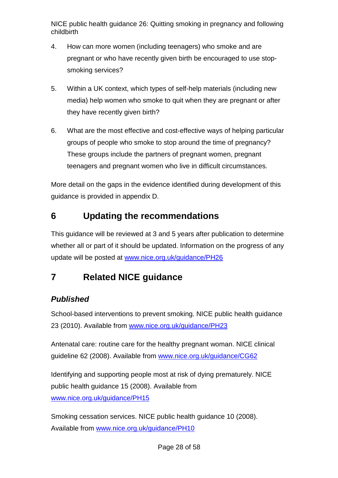- 4. How can more women (including teenagers) who smoke and are pregnant or who have recently given birth be encouraged to use stopsmoking services?
- 5. Within a UK context, which types of self-help materials (including new media) help women who smoke to quit when they are pregnant or after they have recently given birth?
- 6. What are the most effective and cost-effective ways of helping particular groups of people who smoke to stop around the time of pregnancy? These groups include the partners of pregnant women, pregnant teenagers and pregnant women who live in difficult circumstances.

More detail on the gaps in the evidence identified during development of this guidance is provided in appendix D.

## <span id="page-27-0"></span>**6 Updating the recommendations**

This guidance will be reviewed at 3 and 5 years after publication to determine whether all or part of it should be updated. Information on the progress of any update will be posted at [www.nice.org.uk/guidance/PH26](http://www.nice.org.uk/guidance/PH26)

## <span id="page-27-1"></span>**7 Related NICE guidance**

## <span id="page-27-2"></span>*Published*

School-based interventions to prevent smoking. NICE public health guidance 23 (2010). Available from [www.nice.org.uk/guidance/PH23](http://www.nice.org.uk/guidance/PH23)

Antenatal care: routine care for the healthy pregnant woman. NICE clinical guideline 62 (2008). Available from [www.nice.org.uk/guidance/CG62](http://www.nice.org.uk/guidance/CG62)

Identifying and supporting people most at risk of dying prematurely. NICE public health guidance 15 (2008). Available from [www.nice.org.uk/guidance/PH15](http://www.nice.org.uk/guidance/PH15)

Smoking cessation services. NICE public health guidance 10 (2008). Available from [www.nice.org.uk/guidance/PH10](http://www.nice.org.uk/guidance/PH10)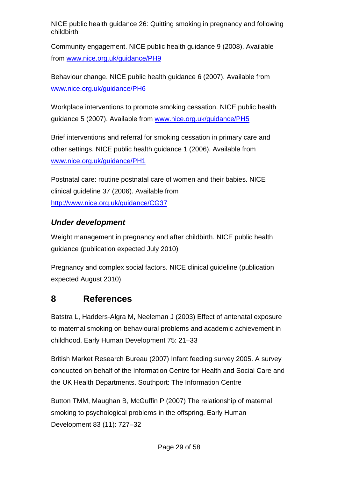Community engagement. NICE public health guidance 9 (2008). Available from [www.nice.org.uk/guidance/PH9](http://www.nice.org.uk/guidance/PH9)

Behaviour change. NICE public health guidance 6 (2007). Available from [www.nice.org.uk/guidance/PH6](http://www.nice.org.uk/guidance/PH6)

Workplace interventions to promote smoking cessation. NICE public health guidance 5 (2007). Available from [www.nice.org.uk/guidance/PH5](http://www.nice.org.uk/guidance/PH5)

Brief interventions and referral for smoking cessation in primary care and other settings. NICE public health guidance 1 (2006). Available from [www.nice.org.uk/guidance/PH1](http://www.nice.org.uk/guidance/PH1)

Postnatal care: routine postnatal care of women and their babies. NICE clinical guideline 37 (2006). Available from <http://www.nice.org.uk/guidance/CG37>

### *Under development*

Weight management in pregnancy and after childbirth. NICE public health guidance (publication expected July 2010)

Pregnancy and complex social factors. NICE clinical guideline (publication expected August 2010)

## <span id="page-28-0"></span>**8 References**

Batstra L, Hadders-Algra M, Neeleman J (2003) Effect of antenatal exposure to maternal smoking on behavioural problems and academic achievement in childhood. Early Human Development 75: 21–33

British Market Research Bureau (2007) Infant feeding survey 2005. A survey conducted on behalf of the Information Centre for Health and Social Care and the UK Health Departments. Southport: The Information Centre

Button TMM, Maughan B, McGuffin P (2007) The relationship of maternal smoking to psychological problems in the offspring. Early Human Development 83 (11): 727–32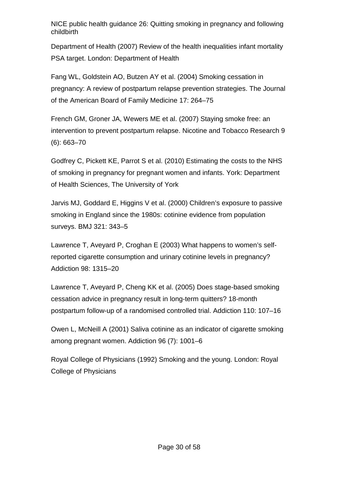Department of Health (2007) Review of the health inequalities infant mortality PSA target. London: Department of Health

Fang WL, Goldstein AO, Butzen AY et al. (2004) Smoking cessation in pregnancy: A review of postpartum relapse prevention strategies. The Journal of the American Board of Family Medicine 17: 264–75

French GM, Groner JA, Wewers ME et al. (2007) Staying smoke free: an intervention to prevent postpartum relapse. Nicotine and Tobacco Research 9 (6): 663–70

Godfrey C, Pickett KE, Parrot S et al. (2010) Estimating the costs to the NHS of smoking in pregnancy for pregnant women and infants. York: Department of Health Sciences, The University of York

Jarvis MJ, Goddard E, Higgins V et al. (2000) Children's exposure to passive smoking in England since the 1980s: cotinine evidence from population surveys. BMJ 321: 343–5

Lawrence T, Aveyard P, Croghan E (2003) What happens to women's selfreported cigarette consumption and urinary cotinine levels in pregnancy? Addiction 98: 1315–20

Lawrence T, Aveyard P, Cheng KK et al. (2005) Does stage-based smoking cessation advice in pregnancy result in long-term quitters? 18-month postpartum follow-up of a randomised controlled trial. Addiction 110: 107–16

Owen L, McNeill A (2001) Saliva cotinine as an indicator of cigarette smoking among pregnant women. Addiction 96 (7): 1001–6

Royal College of Physicians (1992) Smoking and the young. London: Royal College of Physicians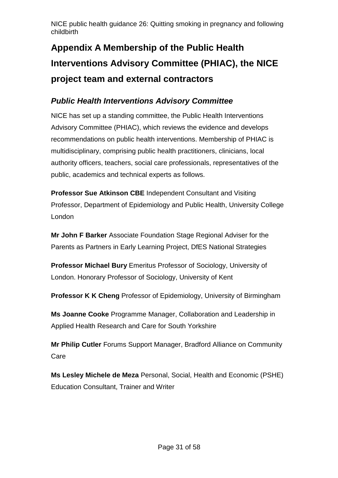# <span id="page-30-0"></span>**Appendix A Membership of the Public Health Interventions Advisory Committee (PHIAC), the NICE project team and external contractors**

### *Public Health Interventions Advisory Committee*

NICE has set up a standing committee, the Public Health Interventions Advisory Committee (PHIAC), which reviews the evidence and develops recommendations on public health interventions. Membership of PHIAC is multidisciplinary, comprising public health practitioners, clinicians, local authority officers, teachers, social care professionals, representatives of the public, academics and technical experts as follows.

**Professor Sue Atkinson CBE** Independent Consultant and Visiting Professor, Department of Epidemiology and Public Health, University College London

**Mr John F Barker** Associate Foundation Stage Regional Adviser for the Parents as Partners in Early Learning Project, DfES National Strategies

**Professor Michael Bury** Emeritus Professor of Sociology, University of London. Honorary Professor of Sociology, University of Kent

**Professor K K Cheng** Professor of Epidemiology, University of Birmingham

**Ms Joanne Cooke** Programme Manager, Collaboration and Leadership in Applied Health Research and Care for South Yorkshire

**Mr Philip Cutler** Forums Support Manager, Bradford Alliance on Community Care

**Ms Lesley Michele de Meza** Personal, Social, Health and Economic (PSHE) Education Consultant, Trainer and Writer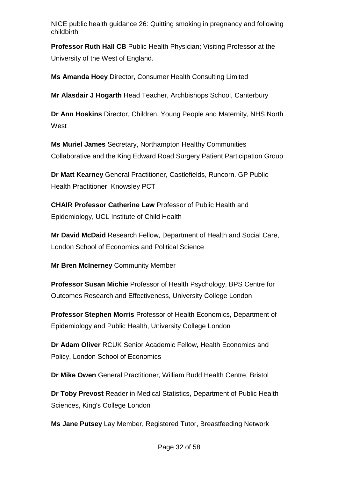**Professor Ruth Hall CB** Public Health Physician; Visiting Professor at the University of the West of England.

**Ms Amanda Hoey** Director, Consumer Health Consulting Limited

**Mr Alasdair J Hogarth** Head Teacher, Archbishops School, Canterbury

**Dr Ann Hoskins** Director, Children, Young People and Maternity, NHS North West

**Ms Muriel James** Secretary, Northampton Healthy Communities Collaborative and the King Edward Road Surgery Patient Participation Group

**Dr Matt Kearney** General Practitioner, Castlefields, Runcorn. GP Public Health Practitioner, Knowsley PCT

**CHAIR Professor Catherine Law** Professor of Public Health and Epidemiology, UCL Institute of Child Health

**Mr David McDaid** Research Fellow, Department of Health and Social Care, London School of Economics and Political Science

**Mr Bren McInerney** Community Member

**Professor Susan Michie** Professor of Health Psychology, BPS Centre for Outcomes Research and Effectiveness, University College London

**Professor Stephen Morris** Professor of Health Economics, Department of Epidemiology and Public Health, University College London

**Dr Adam Oliver** RCUK Senior Academic Fellow**,** Health Economics and Policy, London School of Economics

**Dr Mike Owen** General Practitioner, William Budd Health Centre, Bristol

**Dr Toby Prevost** Reader in Medical Statistics, Department of Public Health Sciences, King's College London

**Ms Jane Putsey** Lay Member, Registered Tutor, Breastfeeding Network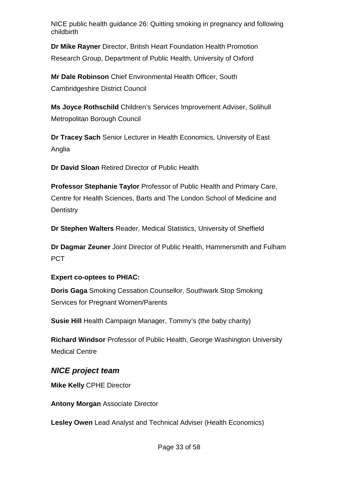**Dr Mike Rayner** Director, British Heart Foundation Health Promotion Research Group, Department of Public Health, University of Oxford

**Mr Dale Robinson** Chief Environmental Health Officer, South Cambridgeshire District Council

**Ms Joyce Rothschild** Children's Services Improvement Adviser, Solihull Metropolitan Borough Council

**Dr Tracey Sach** Senior Lecturer in Health Economics, University of East Anglia

**Dr David Sloan** Retired Director of Public Health

**Professor Stephanie Taylor** Professor of Public Health and Primary Care, Centre for Health Sciences, Barts and The London School of Medicine and **Dentistry** 

**Dr Stephen Walters** Reader, Medical Statistics, University of Sheffield

**Dr Dagmar Zeuner** Joint Director of Public Health, Hammersmith and Fulham **PCT** 

#### **Expert co-optees to PHIAC:**

**Doris Gaga** Smoking Cessation Counsellor, Southwark Stop Smoking Services for Pregnant Women/Parents

**Susie Hill** Health Campaign Manager, Tommy's (the baby charity)

**Richard Windsor** Professor of Public Health, George Washington University Medical Centre

#### *NICE project team*

**Mike Kelly** CPHE Director

**Antony Morgan** Associate Director

**Lesley Owen** Lead Analyst and Technical Adviser (Health Economics)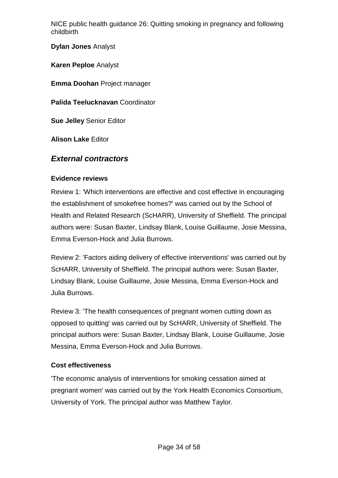**Dylan Jones** Analyst

**Karen Peploe** Analyst

**Emma Doohan** Project manager

**Palida Teelucknavan** Coordinator

**Sue Jelley** Senior Editor

**Alison Lake** Editor

#### *External contractors*

#### **Evidence reviews**

Review 1: 'Which interventions are effective and cost effective in encouraging the establishment of smokefree homes?' was carried out by the School of Health and Related Research (ScHARR), University of Sheffield. The principal authors were: Susan Baxter, Lindsay Blank, Louise Guillaume, Josie Messina, Emma Everson-Hock and Julia Burrows.

Review 2: 'Factors aiding delivery of effective interventions' was carried out by ScHARR, University of Sheffield. The principal authors were: Susan Baxter, Lindsay Blank, Louise Guillaume, Josie Messina, Emma Everson-Hock and Julia Burrows.

Review 3: 'The health consequences of pregnant women cutting down as opposed to quitting' was carried out by ScHARR, University of Sheffield. The principal authors were: Susan Baxter, Lindsay Blank, Louise Guillaume, Josie Messina, Emma Everson-Hock and Julia Burrows.

#### **Cost effectiveness**

'The economic analysis of interventions for smoking cessation aimed at pregnant women' was carried out by the York Health Economics Consortium, University of York. The principal author was Matthew Taylor.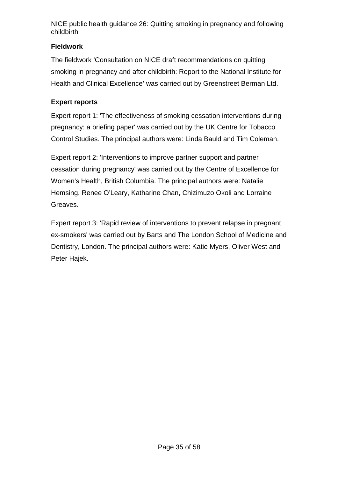#### **Fieldwork**

The fieldwork 'Consultation on NICE draft recommendations on quitting smoking in pregnancy and after childbirth: Report to the National Institute for Health and Clinical Excellence' was carried out by Greenstreet Berman Ltd.

#### **Expert reports**

Expert report 1: 'The effectiveness of smoking cessation interventions during pregnancy: a briefing paper' was carried out by the UK Centre for Tobacco Control Studies. The principal authors were: Linda Bauld and Tim Coleman.

Expert report 2: 'Interventions to improve partner support and partner cessation during pregnancy' was carried out by the Centre of Excellence for Women's Health, British Columbia. The principal authors were: Natalie Hemsing, Renee O'Leary, Katharine Chan, Chizimuzo Okoli and Lorraine Greaves.

Expert report 3: 'Rapid review of interventions to prevent relapse in pregnant ex-smokers' was carried out by Barts and The London School of Medicine and Dentistry, London. The principal authors were: Katie Myers, Oliver West and Peter Hajek.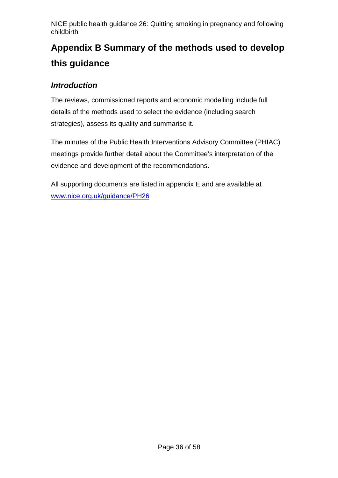# <span id="page-35-0"></span>**Appendix B Summary of the methods used to develop this guidance**

### *Introduction*

The reviews, commissioned reports and economic modelling include full details of the methods used to select the evidence (including search strategies), assess its quality and summarise it.

The minutes of the Public Health Interventions Advisory Committee (PHIAC) meetings provide further detail about the Committee's interpretation of the evidence and development of the recommendations.

All supporting documents are listed in appendix E and are available at [www.nice.org.uk/guidance/PH26](http://www.nice.org.uk/guidance/PH26)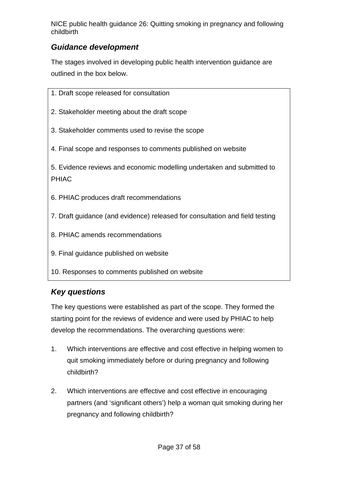### *Guidance development*

The stages involved in developing public health intervention guidance are outlined in the box below.

| 1. Draft scope released for consultation                                               |  |  |
|----------------------------------------------------------------------------------------|--|--|
| 2. Stakeholder meeting about the draft scope                                           |  |  |
| 3. Stakeholder comments used to revise the scope                                       |  |  |
| 4. Final scope and responses to comments published on website                          |  |  |
| 5. Evidence reviews and economic modelling undertaken and submitted to<br><b>PHIAC</b> |  |  |
| 6. PHIAC produces draft recommendations                                                |  |  |
| 7. Draft guidance (and evidence) released for consultation and field testing           |  |  |
| 8. PHIAC amends recommendations                                                        |  |  |
| 9. Final guidance published on website                                                 |  |  |
| 10. Responses to comments published on website                                         |  |  |

## *Key questions*

The key questions were established as part of the scope. They formed the starting point for the reviews of evidence and were used by PHIAC to help develop the recommendations. The overarching questions were:

- 1. Which interventions are effective and cost effective in helping women to quit smoking immediately before or during pregnancy and following childbirth?
- 2. Which interventions are effective and cost effective in encouraging partners (and 'significant others') help a woman quit smoking during her pregnancy and following childbirth?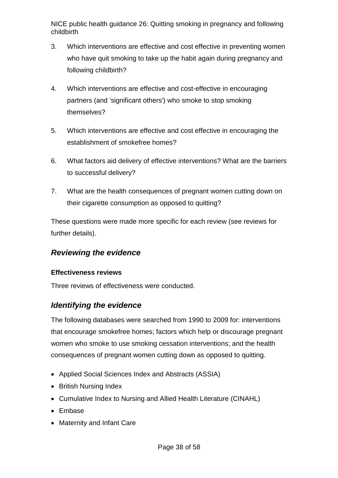- 3. Which interventions are effective and cost effective in preventing women who have quit smoking to take up the habit again during pregnancy and following childbirth?
- 4. Which interventions are effective and cost-effective in encouraging partners (and 'significant others') who smoke to stop smoking themselves?
- 5. Which interventions are effective and cost effective in encouraging the establishment of smokefree homes?
- 6. What factors aid delivery of effective interventions? What are the barriers to successful delivery?
- 7. What are the health consequences of pregnant women cutting down on their cigarette consumption as opposed to quitting?

These questions were made more specific for each review (see reviews for further details).

#### *Reviewing the evidence*

#### **Effectiveness reviews**

Three reviews of effectiveness were conducted.

#### *Identifying the evidence*

The following databases were searched from 1990 to 2009 for: interventions that encourage smokefree homes; factors which help or discourage pregnant women who smoke to use smoking cessation interventions; and the health consequences of pregnant women cutting down as opposed to quitting.

- Applied Social Sciences Index and Abstracts (ASSIA)
- British Nursing Index
- Cumulative Index to Nursing and Allied Health Literature (CINAHL)
- Embase
- Maternity and Infant Care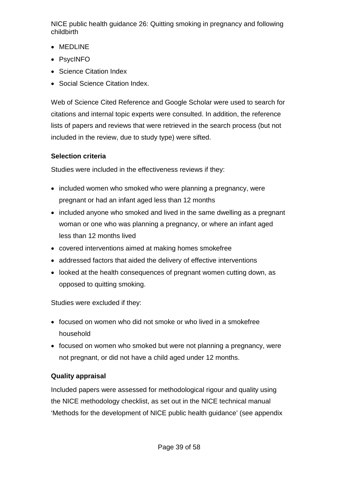- MEDLINE
- PsycINFO
- Science Citation Index
- Social Science Citation Index.

Web of Science Cited Reference and Google Scholar were used to search for citations and internal topic experts were consulted. In addition, the reference lists of papers and reviews that were retrieved in the search process (but not included in the review, due to study type) were sifted.

#### **Selection criteria**

Studies were included in the effectiveness reviews if they:

- included women who smoked who were planning a pregnancy, were pregnant or had an infant aged less than 12 months
- included anyone who smoked and lived in the same dwelling as a pregnant woman or one who was planning a pregnancy, or where an infant aged less than 12 months lived
- covered interventions aimed at making homes smokefree
- addressed factors that aided the delivery of effective interventions
- looked at the health consequences of pregnant women cutting down, as opposed to quitting smoking.

Studies were excluded if they:

- focused on women who did not smoke or who lived in a smokefree household
- focused on women who smoked but were not planning a pregnancy, were not pregnant, or did not have a child aged under 12 months.

#### **Quality appraisal**

Included papers were assessed for methodological rigour and quality using the NICE methodology checklist, as set out in the NICE technical manual 'Methods for the development of NICE public health guidance' (see appendix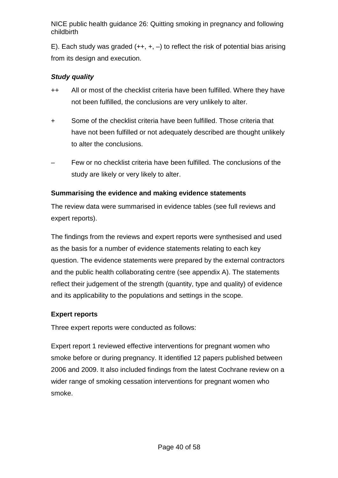E). Each study was graded  $(++, +, -)$  to reflect the risk of potential bias arising from its design and execution.

#### *Study quality*

- ++ All or most of the checklist criteria have been fulfilled. Where they have not been fulfilled, the conclusions are very unlikely to alter.
- + Some of the checklist criteria have been fulfilled. Those criteria that have not been fulfilled or not adequately described are thought unlikely to alter the conclusions.
- Few or no checklist criteria have been fulfilled. The conclusions of the study are likely or very likely to alter.

#### **Summarising the evidence and making evidence statements**

The review data were summarised in evidence tables (see full reviews and expert reports).

The findings from the reviews and expert reports were synthesised and used as the basis for a number of evidence statements relating to each key question. The evidence statements were prepared by the external contractors and the public health collaborating centre (see appendix A). The statements reflect their judgement of the strength (quantity, type and quality) of evidence and its applicability to the populations and settings in the scope.

#### **Expert reports**

Three expert reports were conducted as follows:

Expert report 1 reviewed effective interventions for pregnant women who smoke before or during pregnancy. It identified 12 papers published between 2006 and 2009. It also included findings from the latest Cochrane review on a wider range of smoking cessation interventions for pregnant women who smoke.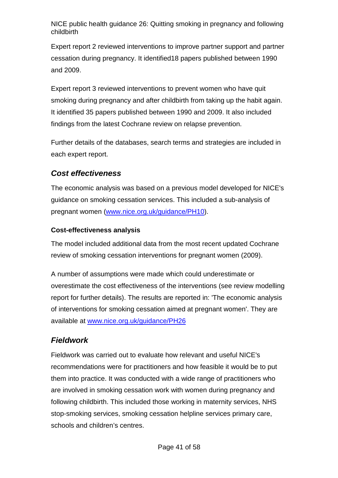Expert report 2 reviewed interventions to improve partner support and partner cessation during pregnancy. It identified18 papers published between 1990 and 2009.

Expert report 3 reviewed interventions to prevent women who have quit smoking during pregnancy and after childbirth from taking up the habit again. It identified 35 papers published between 1990 and 2009. It also included findings from the latest Cochrane review on relapse prevention.

Further details of the databases, search terms and strategies are included in each expert report.

#### *Cost effectiveness*

The economic analysis was based on a previous model developed for NICE's guidance on smoking cessation services. This included a sub-analysis of pregnant women [\(www.nice.org.uk/guidance/PH10\)](http://www.nice.org.uk/guidance/PH10).

#### **Cost-effectiveness analysis**

The model included additional data from the most recent updated Cochrane review of smoking cessation interventions for pregnant women (2009).

A number of assumptions were made which could underestimate or overestimate the cost effectiveness of the interventions (see review modelling report for further details). The results are reported in: 'The economic analysis of interventions for smoking cessation aimed at pregnant women'. They are available at [www.nice.org.uk/guidance/PH26](http://www.nice.org.uk/guidance/PH26)

### *Fieldwork*

Fieldwork was carried out to evaluate how relevant and useful NICE's recommendations were for practitioners and how feasible it would be to put them into practice. It was conducted with a wide range of practitioners who are involved in smoking cessation work with women during pregnancy and following childbirth. This included those working in maternity services, NHS stop-smoking services, smoking cessation helpline services primary care, schools and children's centres.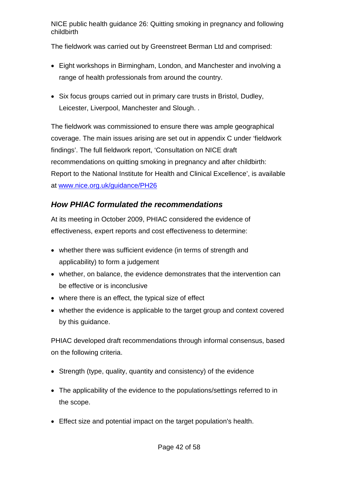The fieldwork was carried out by Greenstreet Berman Ltd and comprised:

- Eight workshops in Birmingham, London, and Manchester and involving a range of health professionals from around the country.
- Six focus groups carried out in primary care trusts in Bristol, Dudley, Leicester, Liverpool, Manchester and Slough. .

The fieldwork was commissioned to ensure there was ample geographical coverage. The main issues arising are set out in appendix C under 'fieldwork findings'. The full fieldwork report, 'Consultation on NICE draft recommendations on quitting smoking in pregnancy and after childbirth: Report to the National Institute for Health and Clinical Excellence', is available at [www.nice.org.uk/guidance/PH26](http://www.nice.org.uk/guidance/PH26)

### *How PHIAC formulated the recommendations*

At its meeting in October 2009, PHIAC considered the evidence of effectiveness, expert reports and cost effectiveness to determine:

- whether there was sufficient evidence (in terms of strength and applicability) to form a judgement
- whether, on balance, the evidence demonstrates that the intervention can be effective or is inconclusive
- where there is an effect, the typical size of effect
- whether the evidence is applicable to the target group and context covered by this guidance.

PHIAC developed draft recommendations through informal consensus, based on the following criteria.

- Strength (type, quality, quantity and consistency) of the evidence
- The applicability of the evidence to the populations/settings referred to in the scope.
- Effect size and potential impact on the target population's health.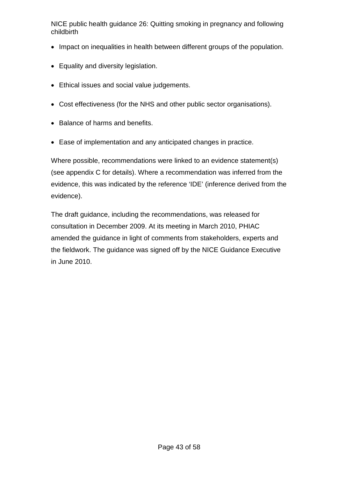- Impact on inequalities in health between different groups of the population.
- Equality and diversity legislation.
- Ethical issues and social value judgements.
- Cost effectiveness (for the NHS and other public sector organisations).
- Balance of harms and benefits.
- Ease of implementation and any anticipated changes in practice.

Where possible, recommendations were linked to an evidence statement(s) (see appendix C for details). Where a recommendation was inferred from the evidence, this was indicated by the reference 'IDE' (inference derived from the evidence).

The draft guidance, including the recommendations, was released for consultation in December 2009. At its meeting in March 2010, PHIAC amended the guidance in light of comments from stakeholders, experts and the fieldwork. The guidance was signed off by the NICE Guidance Executive in June 2010.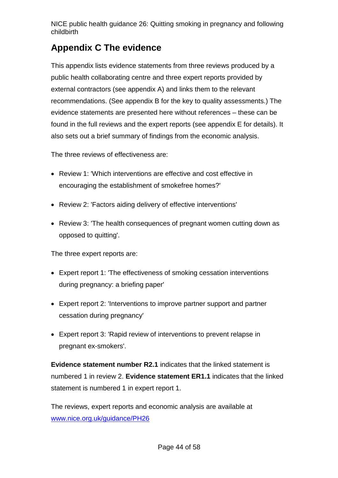## <span id="page-43-0"></span>**Appendix C The evidence**

This appendix lists evidence statements from three reviews produced by a public health collaborating centre and three expert reports provided by external contractors (see appendix A) and links them to the relevant recommendations. (See appendix B for the key to quality assessments.) The evidence statements are presented here without references – these can be found in the full reviews and the expert reports (see appendix E for details). It also sets out a brief summary of findings from the economic analysis.

The three reviews of effectiveness are:

- Review 1: 'Which interventions are effective and cost effective in encouraging the establishment of smokefree homes?'
- Review 2: 'Factors aiding delivery of effective interventions'
- Review 3: 'The health consequences of pregnant women cutting down as opposed to quitting'.

The three expert reports are:

- Expert report 1: 'The effectiveness of smoking cessation interventions during pregnancy: a briefing paper'
- Expert report 2: 'Interventions to improve partner support and partner cessation during pregnancy'
- Expert report 3: 'Rapid review of interventions to prevent relapse in pregnant ex-smokers'.

**Evidence statement number R2.1** indicates that the linked statement is numbered 1 in review 2. **Evidence statement ER1.1** indicates that the linked statement is numbered 1 in expert report 1.

The reviews, expert reports and economic analysis are available at [www.nice.org.uk/guidance/PH26](http://www.nice.org.uk/guidance/PH26)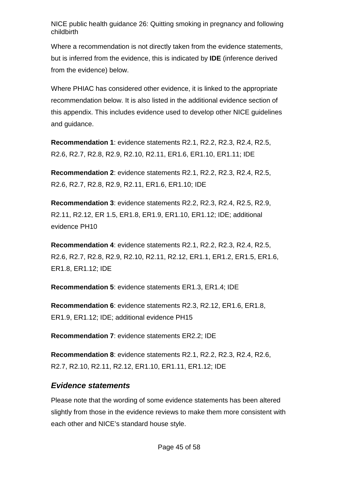Where a recommendation is not directly taken from the evidence statements, but is inferred from the evidence, this is indicated by **IDE** (inference derived from the evidence) below.

Where PHIAC has considered other evidence, it is linked to the appropriate recommendation below. It is also listed in the additional evidence section of this appendix. This includes evidence used to develop other NICE guidelines and guidance.

**Recommendation 1**: evidence statements R2.1, R2.2, R2.3, R2.4, R2.5, R2.6, R2.7, R2.8, R2.9, R2.10, R2.11, ER1.6, ER1.10, ER1.11; IDE

**Recommendation 2**: evidence statements R2.1, R2.2, R2.3, R2.4, R2.5, R2.6, R2.7, R2.8, R2.9, R2.11, ER1.6, ER1.10; IDE

**Recommendation 3**: evidence statements R2.2, R2.3, R2.4, R2.5, R2.9, R2.11, R2.12, ER 1.5, ER1.8, ER1.9, ER1.10, ER1.12; IDE; additional evidence PH10

**Recommendation 4**: evidence statements R2.1, R2.2, R2.3, R2.4, R2.5, R2.6, R2.7, R2.8, R2.9, R2.10, R2.11, R2.12, ER1.1, ER1.2, ER1.5, ER1.6, ER1.8, ER1.12; IDE

**Recommendation 5**: evidence statements ER1.3, ER1.4; IDE

**Recommendation 6**: evidence statements R2.3, R2.12, ER1.6, ER1.8, ER1.9, ER1.12; IDE; additional evidence PH15

**Recommendation 7**: evidence statements ER2.2; IDE

**Recommendation 8**: evidence statements R2.1, R2.2, R2.3, R2.4, R2.6, R2.7, R2.10, R2.11, R2.12, ER1.10, ER1.11, ER1.12; IDE

#### *Evidence statements*

Please note that the wording of some evidence statements has been altered slightly from those in the evidence reviews to make them more consistent with each other and NICE's standard house style.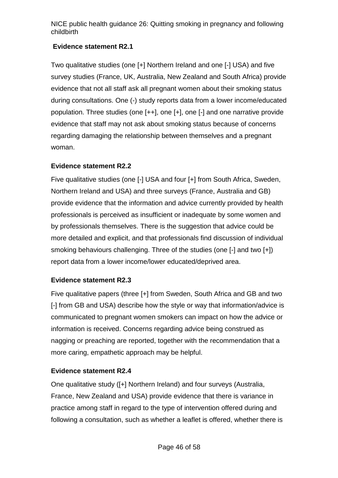#### **Evidence statement R2.1**

Two qualitative studies (one [+] Northern Ireland and one [-] USA) and five survey studies (France, UK, Australia, New Zealand and South Africa) provide evidence that not all staff ask all pregnant women about their smoking status during consultations. One (-) study reports data from a lower income/educated population. Three studies (one [++], one [+], one [-] and one narrative provide evidence that staff may not ask about smoking status because of concerns regarding damaging the relationship between themselves and a pregnant woman.

#### **Evidence statement R2.2**

Five qualitative studies (one [-] USA and four [+] from South Africa, Sweden, Northern Ireland and USA) and three surveys (France, Australia and GB) provide evidence that the information and advice currently provided by health professionals is perceived as insufficient or inadequate by some women and by professionals themselves. There is the suggestion that advice could be more detailed and explicit, and that professionals find discussion of individual smoking behaviours challenging. Three of the studies (one [-] and two [+]) report data from a lower income/lower educated/deprived area.

#### **Evidence statement R2.3**

Five qualitative papers (three [+] from Sweden, South Africa and GB and two [-] from GB and USA) describe how the style or way that information/advice is communicated to pregnant women smokers can impact on how the advice or information is received. Concerns regarding advice being construed as nagging or preaching are reported, together with the recommendation that a more caring, empathetic approach may be helpful.

#### **Evidence statement R2.4**

One qualitative study ([+] Northern Ireland) and four surveys (Australia, France, New Zealand and USA) provide evidence that there is variance in practice among staff in regard to the type of intervention offered during and following a consultation, such as whether a leaflet is offered, whether there is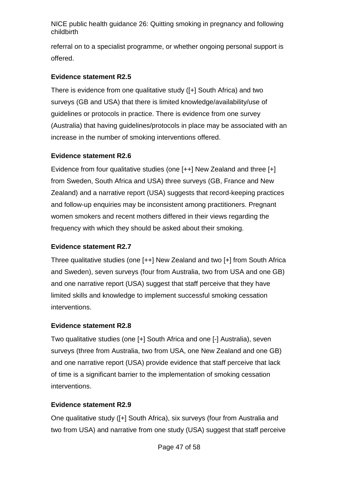referral on to a specialist programme, or whether ongoing personal support is offered.

#### **Evidence statement R2.5**

There is evidence from one qualitative study ([+] South Africa) and two surveys (GB and USA) that there is limited knowledge/availability/use of guidelines or protocols in practice. There is evidence from one survey (Australia) that having guidelines/protocols in place may be associated with an increase in the number of smoking interventions offered.

#### **Evidence statement R2.6**

Evidence from four qualitative studies (one [++] New Zealand and three [+] from Sweden, South Africa and USA) three surveys (GB, France and New Zealand) and a narrative report (USA) suggests that record-keeping practices and follow-up enquiries may be inconsistent among practitioners. Pregnant women smokers and recent mothers differed in their views regarding the frequency with which they should be asked about their smoking.

#### **Evidence statement R2.7**

Three qualitative studies (one [++] New Zealand and two [+] from South Africa and Sweden), seven surveys (four from Australia, two from USA and one GB) and one narrative report (USA) suggest that staff perceive that they have limited skills and knowledge to implement successful smoking cessation interventions.

#### **Evidence statement R2.8**

Two qualitative studies (one [+] South Africa and one [-] Australia), seven surveys (three from Australia, two from USA, one New Zealand and one GB) and one narrative report (USA) provide evidence that staff perceive that lack of time is a significant barrier to the implementation of smoking cessation interventions.

#### **Evidence statement R2.9**

One qualitative study ([+] South Africa), six surveys (four from Australia and two from USA) and narrative from one study (USA) suggest that staff perceive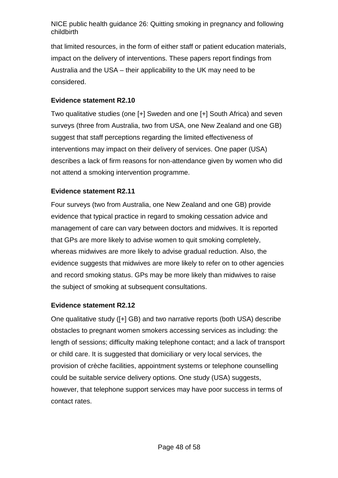that limited resources, in the form of either staff or patient education materials, impact on the delivery of interventions. These papers report findings from Australia and the USA – their applicability to the UK may need to be considered.

#### **Evidence statement R2.10**

Two qualitative studies (one [+] Sweden and one [+] South Africa) and seven surveys (three from Australia, two from USA, one New Zealand and one GB) suggest that staff perceptions regarding the limited effectiveness of interventions may impact on their delivery of services. One paper (USA) describes a lack of firm reasons for non-attendance given by women who did not attend a smoking intervention programme.

#### **Evidence statement R2.11**

Four surveys (two from Australia, one New Zealand and one GB) provide evidence that typical practice in regard to smoking cessation advice and management of care can vary between doctors and midwives. It is reported that GPs are more likely to advise women to quit smoking completely, whereas midwives are more likely to advise gradual reduction. Also, the evidence suggests that midwives are more likely to refer on to other agencies and record smoking status. GPs may be more likely than midwives to raise the subject of smoking at subsequent consultations.

#### **Evidence statement R2.12**

One qualitative study ([+] GB) and two narrative reports (both USA) describe obstacles to pregnant women smokers accessing services as including: the length of sessions; difficulty making telephone contact; and a lack of transport or child care. It is suggested that domiciliary or very local services, the provision of crèche facilities, appointment systems or telephone counselling could be suitable service delivery options. One study (USA) suggests, however, that telephone support services may have poor success in terms of contact rates.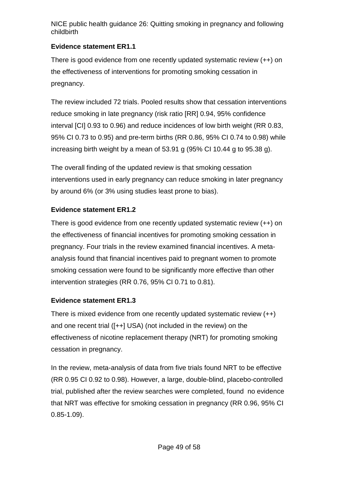#### **Evidence statement ER1.1**

There is good evidence from one recently updated systematic review (++) on the effectiveness of interventions for promoting smoking cessation in pregnancy.

The review included 72 trials. Pooled results show that cessation interventions reduce smoking in late pregnancy (risk ratio [RR] 0.94, 95% confidence interval [CI] 0.93 to 0.96) and reduce incidences of low birth weight (RR 0.83, 95% CI 0.73 to 0.95) and pre-term births (RR 0.86, 95% CI 0.74 to 0.98) while increasing birth weight by a mean of 53.91 g (95% CI 10.44 g to 95.38 g).

The overall finding of the updated review is that smoking cessation interventions used in early pregnancy can reduce smoking in later pregnancy by around 6% (or 3% using studies least prone to bias).

### **Evidence statement ER1.2**

There is good evidence from one recently updated systematic review (++) on the effectiveness of financial incentives for promoting smoking cessation in pregnancy. Four trials in the review examined financial incentives. A metaanalysis found that financial incentives paid to pregnant women to promote smoking cessation were found to be significantly more effective than other intervention strategies (RR 0.76, 95% CI 0.71 to 0.81).

### **Evidence statement ER1.3**

There is mixed evidence from one recently updated systematic review (++) and one recent trial ([++] USA) (not included in the review) on the effectiveness of nicotine replacement therapy (NRT) for promoting smoking cessation in pregnancy.

In the review, meta-analysis of data from five trials found NRT to be effective (RR 0.95 CI 0.92 to 0.98). However, a large, double-blind, placebo-controlled trial, published after the review searches were completed, found no evidence that NRT was effective for smoking cessation in pregnancy (RR 0.96, 95% CI 0.85-1.09).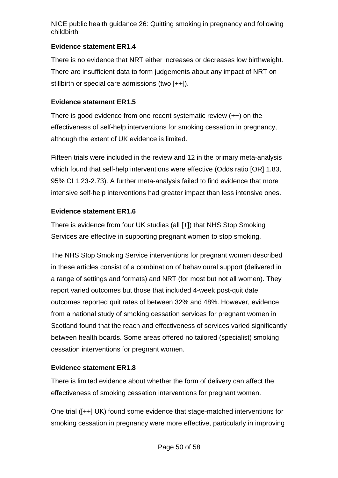#### **Evidence statement ER1.4**

There is no evidence that NRT either increases or decreases low birthweight. There are insufficient data to form judgements about any impact of NRT on stillbirth or special care admissions (two [++]).

#### **Evidence statement ER1.5**

There is good evidence from one recent systematic review (++) on the effectiveness of self-help interventions for smoking cessation in pregnancy, although the extent of UK evidence is limited.

Fifteen trials were included in the review and 12 in the primary meta-analysis which found that self-help interventions were effective (Odds ratio [OR] 1.83, 95% CI 1.23-2.73). A further meta-analysis failed to find evidence that more intensive self-help interventions had greater impact than less intensive ones.

### **Evidence statement ER1.6**

There is evidence from four UK studies (all [+]) that NHS Stop Smoking Services are effective in supporting pregnant women to stop smoking.

The NHS Stop Smoking Service interventions for pregnant women described in these articles consist of a combination of behavioural support (delivered in a range of settings and formats) and NRT (for most but not all women). They report varied outcomes but those that included 4-week post-quit date outcomes reported quit rates of between 32% and 48%. However, evidence from a national study of smoking cessation services for pregnant women in Scotland found that the reach and effectiveness of services varied significantly between health boards. Some areas offered no tailored (specialist) smoking cessation interventions for pregnant women.

#### **Evidence statement ER1.8**

There is limited evidence about whether the form of delivery can affect the effectiveness of smoking cessation interventions for pregnant women.

One trial ([++] UK) found some evidence that stage-matched interventions for smoking cessation in pregnancy were more effective, particularly in improving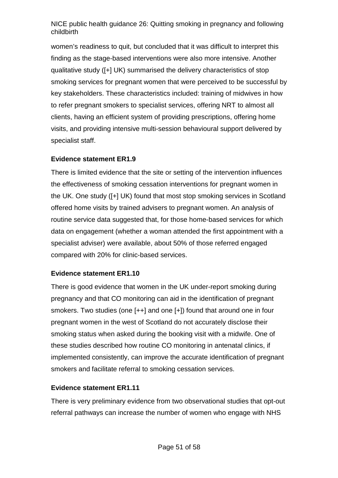women's readiness to quit, but concluded that it was difficult to interpret this finding as the stage-based interventions were also more intensive. Another qualitative study ([+] UK) summarised the delivery characteristics of stop smoking services for pregnant women that were perceived to be successful by key stakeholders. These characteristics included: training of midwives in how to refer pregnant smokers to specialist services, offering NRT to almost all clients, having an efficient system of providing prescriptions, offering home visits, and providing intensive multi-session behavioural support delivered by specialist staff.

#### **Evidence statement ER1.9**

There is limited evidence that the site or setting of the intervention influences the effectiveness of smoking cessation interventions for pregnant women in the UK. One study ([+] UK) found that most stop smoking services in Scotland offered home visits by trained advisers to pregnant women. An analysis of routine service data suggested that, for those home-based services for which data on engagement (whether a woman attended the first appointment with a specialist adviser) were available, about 50% of those referred engaged compared with 20% for clinic-based services.

#### **Evidence statement ER1.10**

There is good evidence that women in the UK under-report smoking during pregnancy and that CO monitoring can aid in the identification of pregnant smokers. Two studies (one [++] and one [+]) found that around one in four pregnant women in the west of Scotland do not accurately disclose their smoking status when asked during the booking visit with a midwife. One of these studies described how routine CO monitoring in antenatal clinics, if implemented consistently, can improve the accurate identification of pregnant smokers and facilitate referral to smoking cessation services.

#### **Evidence statement ER1.11**

There is very preliminary evidence from two observational studies that opt-out referral pathways can increase the number of women who engage with NHS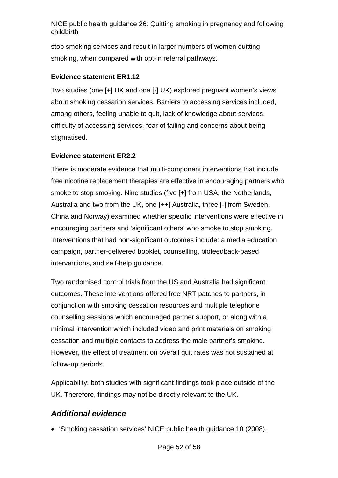stop smoking services and result in larger numbers of women quitting smoking, when compared with opt-in referral pathways.

#### **Evidence statement ER1.12**

Two studies (one [+] UK and one [-] UK) explored pregnant women's views about smoking cessation services. Barriers to accessing services included, among others, feeling unable to quit, lack of knowledge about services, difficulty of accessing services, fear of failing and concerns about being stigmatised.

#### **Evidence statement ER2.2**

There is moderate evidence that multi-component interventions that include free nicotine replacement therapies are effective in encouraging partners who smoke to stop smoking. Nine studies (five [+] from USA, the Netherlands, Australia and two from the UK, one [++] Australia, three [-] from Sweden, China and Norway) examined whether specific interventions were effective in encouraging partners and 'significant others' who smoke to stop smoking. Interventions that had non-significant outcomes include: a media education campaign, partner-delivered booklet, counselling, biofeedback-based interventions, and self-help guidance.

Two randomised control trials from the US and Australia had significant outcomes. These interventions offered free NRT patches to partners, in conjunction with smoking cessation resources and multiple telephone counselling sessions which encouraged partner support, or along with a minimal intervention which included video and print materials on smoking cessation and multiple contacts to address the male partner's smoking. However, the effect of treatment on overall quit rates was not sustained at follow-up periods.

Applicability: both studies with significant findings took place outside of the UK. Therefore, findings may not be directly relevant to the UK.

#### *Additional evidence*

• 'Smoking cessation services' NICE public health guidance 10 (2008).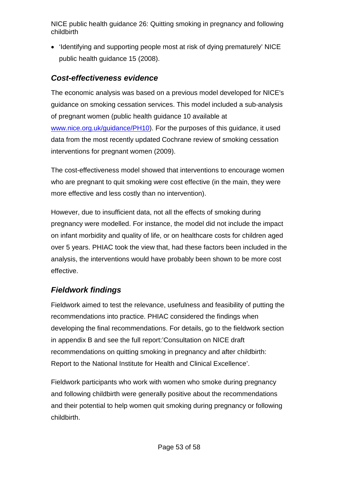• 'Identifying and supporting people most at risk of dying prematurely' NICE public health guidance 15 (2008).

#### *Cost-effectiveness evidence*

The economic analysis was based on a previous model developed for NICE's guidance on smoking cessation services. This model included a sub-analysis of pregnant women (public health guidance 10 available at [www.nice.org.uk/guidance/PH10\)](http://www.nice.org.uk/guidance/PH10). For the purposes of this guidance, it used data from the most recently updated Cochrane review of smoking cessation interventions for pregnant women (2009).

The cost-effectiveness model showed that interventions to encourage women who are pregnant to quit smoking were cost effective (in the main, they were more effective and less costly than no intervention).

However, due to insufficient data, not all the effects of smoking during pregnancy were modelled. For instance, the model did not include the impact on infant morbidity and quality of life, or on healthcare costs for children aged over 5 years. PHIAC took the view that, had these factors been included in the analysis, the interventions would have probably been shown to be more cost effective.

### *Fieldwork findings*

Fieldwork aimed to test the relevance, usefulness and feasibility of putting the recommendations into practice. PHIAC considered the findings when developing the final recommendations. For details, go to the fieldwork section in appendix B and see the full report:'Consultation on NICE draft recommendations on quitting smoking in pregnancy and after childbirth: Report to the National Institute for Health and Clinical Excellence'.

Fieldwork participants who work with women who smoke during pregnancy and following childbirth were generally positive about the recommendations and their potential to help women quit smoking during pregnancy or following childbirth.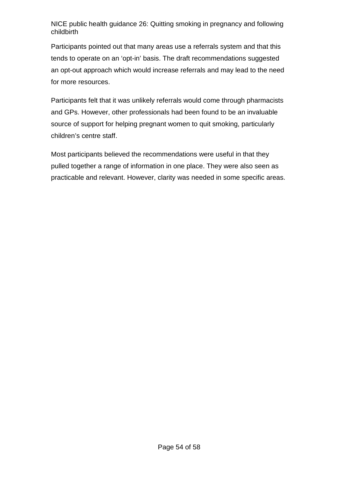Participants pointed out that many areas use a referrals system and that this tends to operate on an 'opt-in' basis. The draft recommendations suggested an opt-out approach which would increase referrals and may lead to the need for more resources.

Participants felt that it was unlikely referrals would come through pharmacists and GPs. However, other professionals had been found to be an invaluable source of support for helping pregnant women to quit smoking, particularly children's centre staff.

Most participants believed the recommendations were useful in that they pulled together a range of information in one place. They were also seen as practicable and relevant. However, clarity was needed in some specific areas.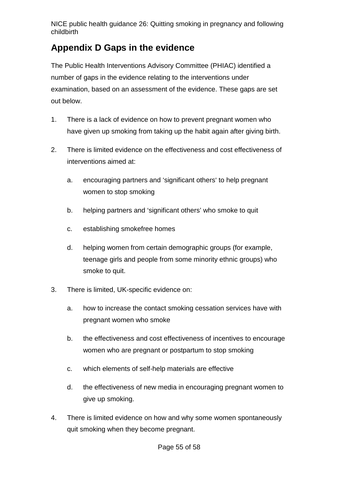## <span id="page-54-0"></span>**Appendix D Gaps in the evidence**

The Public Health Interventions Advisory Committee (PHIAC) identified a number of gaps in the evidence relating to the interventions under examination, based on an assessment of the evidence. These gaps are set out below.

- 1. There is a lack of evidence on how to prevent pregnant women who have given up smoking from taking up the habit again after giving birth.
- 2. There is limited evidence on the effectiveness and cost effectiveness of interventions aimed at:
	- a. encouraging partners and 'significant others' to help pregnant women to stop smoking
	- b. helping partners and 'significant others' who smoke to quit
	- c. establishing smokefree homes
	- d. helping women from certain demographic groups (for example, teenage girls and people from some minority ethnic groups) who smoke to quit.
- 3. There is limited, UK-specific evidence on:
	- a. how to increase the contact smoking cessation services have with pregnant women who smoke
	- b. the effectiveness and cost effectiveness of incentives to encourage women who are pregnant or postpartum to stop smoking
	- c. which elements of self-help materials are effective
	- d. the effectiveness of new media in encouraging pregnant women to give up smoking.
- 4. There is limited evidence on how and why some women spontaneously quit smoking when they become pregnant.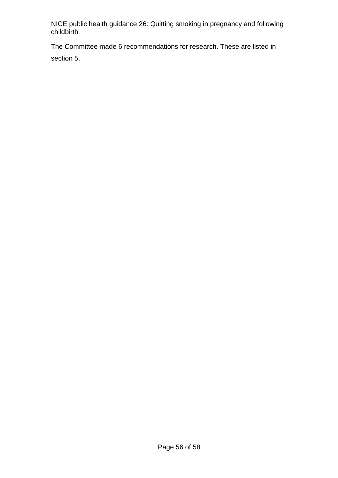The Committee made 6 recommendations for research. These are listed in section 5.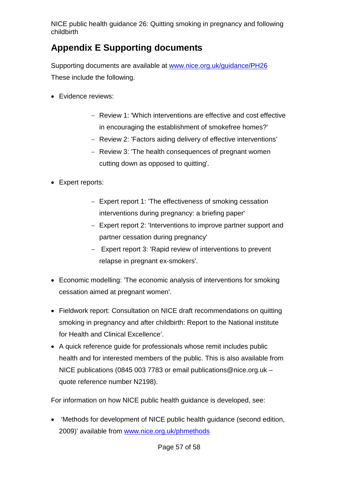## <span id="page-56-0"></span>**Appendix E Supporting documents**

Supporting documents are available at [www.nice.org.uk/guidance/PH26](http://www.nice.org.uk/guidance/PH26) These include the following.

- Evidence reviews:
	- − Review 1: 'Which interventions are effective and cost effective in encouraging the establishment of smokefree homes?'
	- − Review 2: 'Factors aiding delivery of effective interventions'
	- − Review 3: 'The health consequences of pregnant women cutting down as opposed to quitting'.
- Expert reports:
	- − Expert report 1: 'The effectiveness of smoking cessation interventions during pregnancy: a briefing paper'
	- − Expert report 2: 'Interventions to improve partner support and partner cessation during pregnancy'
	- − Expert report 3: 'Rapid review of interventions to prevent relapse in pregnant ex-smokers'.
- Economic modelling: 'The economic analysis of interventions for smoking cessation aimed at pregnant women'.
- Fieldwork report: Consultation on NICE draft recommendations on quitting smoking in pregnancy and after childbirth: Report to the National institute for Health and Clinical Excellence'.
- A quick reference guide for professionals whose remit includes public health and for interested members of the public. This is also available from NICE publications (0845 003 7783 or email publications@nice.org.uk – quote reference number N2198).

For information on how NICE public health guidance is developed, see:

• 'Methods for development of NICE public health guidance (second edition, 2009)' available from [www.nice.org.uk/phmethods](http://www.nice.org.uk/phmethods)